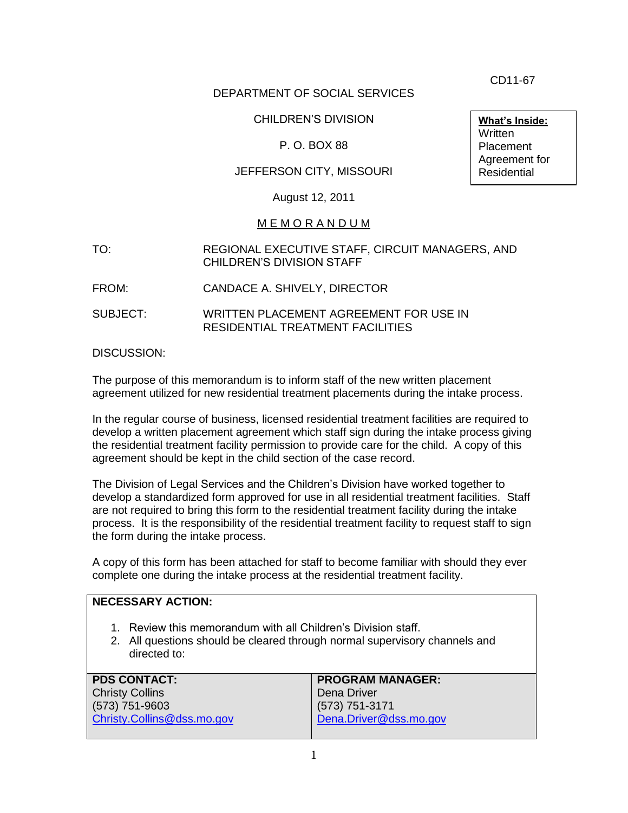CD11-67

### DEPARTMENT OF SOCIAL SERVICES

## CHILDREN'S DIVISION

## P. O. BOX 88

## JEFFERSON CITY, MISSOURI

August 12, 2011

#### M E M O R A N D U M

- TO: REGIONAL EXECUTIVE STAFF, CIRCUIT MANAGERS, AND CHILDREN'S DIVISION STAFF
- FROM: CANDACE A. SHIVELY, DIRECTOR
- SUBJECT: WRITTEN PLACEMENT AGREEMENT FOR USE IN RESIDENTIAL TREATMENT FACILITIES

#### DISCUSSION:

The purpose of this memorandum is to inform staff of the new written placement agreement utilized for new residential treatment placements during the intake process.

In the regular course of business, licensed residential treatment facilities are required to develop a written placement agreement which staff sign during the intake process giving the residential treatment facility permission to provide care for the child. A copy of this agreement should be kept in the child section of the case record.

The Division of Legal Services and the Children's Division have worked together to develop a standardized form approved for use in all residential treatment facilities. Staff are not required to bring this form to the residential treatment facility during the intake process. It is the responsibility of the residential treatment facility to request staff to sign the form during the intake process.

A copy of this form has been attached for staff to become familiar with should they ever complete one during the intake process at the residential treatment facility.

## **NECESSARY ACTION:**

- 1. Review this memorandum with all Children's Division staff.
- 2. All questions should be cleared through normal supervisory channels and directed to:

| <b>PDS CONTACT:</b>        | <b>PROGRAM MANAGER:</b> |
|----------------------------|-------------------------|
| <b>Christy Collins</b>     | Dena Driver             |
| $(573) 751 - 9603$         | $(573) 751 - 3171$      |
| Christy.Collins@dss.mo.gov | Dena.Driver@dss.mo.gov  |
|                            |                         |

**What's Inside:** Written Placement Agreement for Residential